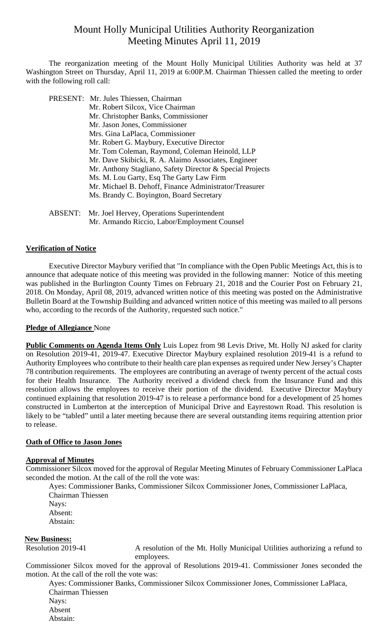# Mount Holly Municipal Utilities Authority Reorganization Meeting Minutes April 11, 2019

 The reorganization meeting of the Mount Holly Municipal Utilities Authority was held at 37 Washington Street on Thursday, April 11, 2019 at 6:00P.M. Chairman Thiessen called the meeting to order with the following roll call:

|                | PRESENT: Mr. Jules Thiessen, Chairman                     |
|----------------|-----------------------------------------------------------|
|                | Mr. Robert Silcox, Vice Chairman                          |
|                | Mr. Christopher Banks, Commissioner                       |
|                | Mr. Jason Jones, Commissioner                             |
|                | Mrs. Gina LaPlaca, Commissioner                           |
|                | Mr. Robert G. Maybury, Executive Director                 |
|                | Mr. Tom Coleman, Raymond, Coleman Heinold, LLP            |
|                | Mr. Dave Skibicki, R. A. Alaimo Associates, Engineer      |
|                | Mr. Anthony Stagliano, Safety Director & Special Projects |
|                | Ms. M. Lou Garty, Esq The Garty Law Firm                  |
|                | Mr. Michael B. Dehoff, Finance Administrator/Treasurer    |
|                | Ms. Brandy C. Boyington, Board Secretary                  |
|                |                                                           |
| <b>ABSENT:</b> | Mr. Joel Hervey, Operations Superintendent                |
|                | Mr. Armando Riccio, Labor/Employment Counsel              |

#### **Verification of Notice**

Executive Director Maybury verified that "In compliance with the Open Public Meetings Act, this is to announce that adequate notice of this meeting was provided in the following manner: Notice of this meeting was published in the Burlington County Times on February 21, 2018 and the Courier Post on February 21, 2018. On Monday, April 08, 2019, advanced written notice of this meeting was posted on the Administrative Bulletin Board at the Township Building and advanced written notice of this meeting was mailed to all persons who, according to the records of the Authority, requested such notice."

#### **Pledge of Allegiance** None

**Public Comments on Agenda Items Only** Luis Lopez from 98 Levis Drive, Mt. Holly NJ asked for clarity on Resolution 2019-41, 2019-47. Executive Director Maybury explained resolution 2019-41 is a refund to Authority Employees who contribute to their health care plan expenses as required under New Jersey's Chapter 78 contribution requirements. The employees are contributing an average of twenty percent of the actual costs for their Health Insurance. The Authority received a dividend check from the Insurance Fund and this resolution allows the employees to receive their portion of the dividend. Executive Director Maybury continued explaining that resolution 2019-47 is to release a performance bond for a development of 25 homes constructed in Lumberton at the interception of Municipal Drive and Eayrestown Road. This resolution is likely to be "tabled" until a later meeting because there are several outstanding items requiring attention prior to release.

#### **Oath of Office to Jason Jones**

#### **Approval of Minutes**

Commissioner Silcox moved for the approval of Regular Meeting Minutes of February Commissioner LaPlaca seconded the motion. At the call of the roll the vote was:

Ayes: Commissioner Banks, Commissioner Silcox Commissioner Jones, Commissioner LaPlaca, Chairman Thiessen Nays: Absent: Abstain:

#### **New Business:**

Resolution 2019-41 A resolution of the Mt. Holly Municipal Utilities authorizing a refund to employees.

Commissioner Silcox moved for the approval of Resolutions 2019-41. Commissioner Jones seconded the motion. At the call of the roll the vote was:

Ayes: Commissioner Banks, Commissioner Silcox Commissioner Jones, Commissioner LaPlaca, Chairman Thiessen Nays: Absent

Abstain: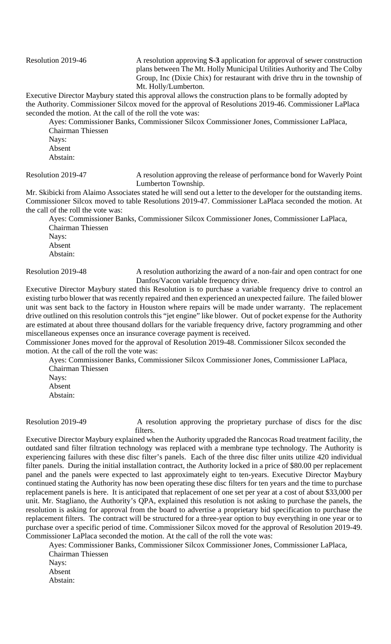Resolution 2019-46 A resolution approving **S-3** application for approval of sewer construction plans between The Mt. Holly Municipal Utilities Authority and The Colby Group, Inc (Dixie Chix) for restaurant with drive thru in the township of Mt. Holly/Lumberton.

Executive Director Maybury stated this approval allows the construction plans to be formally adopted by the Authority. Commissioner Silcox moved for the approval of Resolutions 2019-46. Commissioner LaPlaca seconded the motion. At the call of the roll the vote was:

Ayes: Commissioner Banks, Commissioner Silcox Commissioner Jones, Commissioner LaPlaca, Chairman Thiessen

Nays: Absent Abstain:

Resolution 2019-47 A resolution approving the release of performance bond for Waverly Point Lumberton Township.

Mr. Skibicki from Alaimo Associates stated he will send out a letter to the developer for the outstanding items. Commissioner Silcox moved to table Resolutions 2019-47. Commissioner LaPlaca seconded the motion. At the call of the roll the vote was:

Ayes: Commissioner Banks, Commissioner Silcox Commissioner Jones, Commissioner LaPlaca, Chairman Thiessen Navs: Absent Abstain:

Resolution 2019-48 A resolution authorizing the award of a non-fair and open contract for one Danfos/Vacon variable frequency drive.

Executive Director Maybury stated this Resolution is to purchase a variable frequency drive to control an existing turbo blower that was recently repaired and then experienced an unexpected failure. The failed blower unit was sent back to the factory in Houston where repairs will be made under warranty. The replacement drive outlined on this resolution controls this "jet engine" like blower. Out of pocket expense for the Authority are estimated at about three thousand dollars for the variable frequency drive, factory programming and other miscellaneous expenses once an insurance coverage payment is received.

Commissioner Jones moved for the approval of Resolution 2019-48. Commissioner Silcox seconded the motion. At the call of the roll the vote was:

Ayes: Commissioner Banks, Commissioner Silcox Commissioner Jones, Commissioner LaPlaca, Chairman Thiessen

Nays: Absent Abstain:

Resolution 2019-49 A resolution approving the proprietary purchase of discs for the disc filters.

Executive Director Maybury explained when the Authority upgraded the Rancocas Road treatment facility, the outdated sand filter filtration technology was replaced with a membrane type technology. The Authority is experiencing failures with these disc filter's panels. Each of the three disc filter units utilize 420 individual filter panels. During the initial installation contract, the Authority locked in a price of \$80.00 per replacement panel and the panels were expected to last approximately eight to ten-years. Executive Director Maybury continued stating the Authority has now been operating these disc filters for ten years and the time to purchase replacement panels is here. It is anticipated that replacement of one set per year at a cost of about \$33,000 per unit. Mr. Stagliano, the Authority's QPA, explained this resolution is not asking to purchase the panels, the resolution is asking for approval from the board to advertise a proprietary bid specification to purchase the replacement filters. The contract will be structured for a three-year option to buy everything in one year or to purchase over a specific period of time. Commissioner Silcox moved for the approval of Resolution 2019-49. Commissioner LaPlaca seconded the motion. At the call of the roll the vote was:

Ayes: Commissioner Banks, Commissioner Silcox Commissioner Jones, Commissioner LaPlaca, Chairman Thiessen Nays: Absent

Abstain: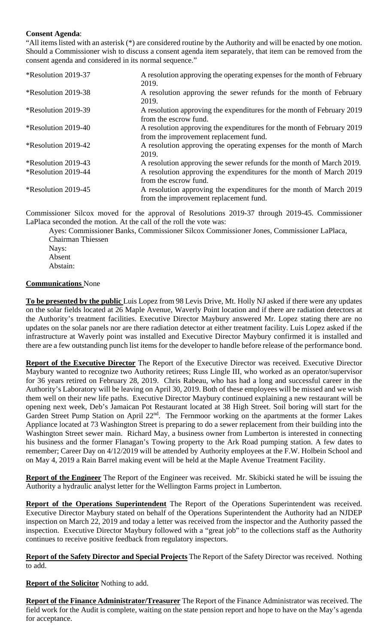### **Consent Agenda**:

"All items listed with an asterisk (\*) are considered routine by the Authority and will be enacted by one motion. Should a Commissioner wish to discuss a consent agenda item separately, that item can be removed from the consent agenda and considered in its normal sequence."

| *Resolution 2019-37               | A resolution approving the operating expenses for the month of February |
|-----------------------------------|-------------------------------------------------------------------------|
|                                   | 2019.                                                                   |
| *Resolution 2019-38               | A resolution approving the sewer refunds for the month of February      |
|                                   | 2019.                                                                   |
| <i><b>*Resolution 2019-39</b></i> | A resolution approving the expenditures for the month of February 2019  |
|                                   | from the escrow fund.                                                   |
| <i><b>*Resolution 2019-40</b></i> | A resolution approving the expenditures for the month of February 2019  |
|                                   | from the improvement replacement fund.                                  |
| <i><b>*Resolution 2019-42</b></i> | A resolution approving the operating expenses for the month of March    |
|                                   | 2019.                                                                   |
| <i><b>*Resolution 2019-43</b></i> | A resolution approving the sewer refunds for the month of March 2019.   |
| <i><b>*Resolution 2019-44</b></i> | A resolution approving the expenditures for the month of March 2019     |
|                                   | from the escrow fund.                                                   |
| <i><b>*Resolution 2019-45</b></i> | A resolution approving the expenditures for the month of March 2019     |
|                                   | from the improvement replacement fund.                                  |

Commissioner Silcox moved for the approval of Resolutions 2019-37 through 2019-45. Commissioner LaPlaca seconded the motion. At the call of the roll the vote was:

Ayes: Commissioner Banks, Commissioner Silcox Commissioner Jones, Commissioner LaPlaca, Chairman Thiessen Nays: Absent Abstain:

#### **Communications** None

**To be presented by the public** Luis Lopez from 98 Levis Drive, Mt. Holly NJ asked if there were any updates on the solar fields located at 26 Maple Avenue, Waverly Point location and if there are radiation detectors at the Authority's treatment facilities. Executive Director Maybury answered Mr. Lopez stating there are no updates on the solar panels nor are there radiation detector at either treatment facility. Luis Lopez asked if the infrastructure at Waverly point was installed and Executive Director Maybury confirmed it is installed and there are a few outstanding punch list items for the developer to handle before release of the performance bond.

**Report of the Executive Director** The Report of the Executive Director was received. Executive Director Maybury wanted to recognize two Authority retirees; Russ Lingle III, who worked as an operator/supervisor for 36 years retired on February 28, 2019. Chris Rabeau, who has had a long and successful career in the Authority's Laboratory will be leaving on April 30, 2019. Both of these employees will be missed and we wish them well on their new life paths. Executive Director Maybury continued explaining a new restaurant will be opening next week, Deb's Jamaican Pot Restaurant located at 38 High Street. Soil boring will start for the Garden Street Pump Station on April 22<sup>nd</sup>. The Fernmoor working on the apartments at the former Lakes Appliance located at 73 Washington Street is preparing to do a sewer replacement from their building into the Washington Street sewer main. Richard May, a business owner from Lumberton is interested in connecting his business and the former Flanagan's Towing property to the Ark Road pumping station. A few dates to remember; Career Day on 4/12/2019 will be attended by Authority employees at the F.W. Holbein School and on May 4, 2019 a Rain Barrel making event will be held at the Maple Avenue Treatment Facility.

**Report of the Engineer** The Report of the Engineer was received. Mr. Skibicki stated he will be issuing the Authority a hydraulic analyst letter for the Wellington Farms project in Lumberton.

**Report of the Operations Superintendent** The Report of the Operations Superintendent was received. Executive Director Maybury stated on behalf of the Operations Superintendent the Authority had an NJDEP inspection on March 22, 2019 and today a letter was received from the inspector and the Authority passed the inspection. Executive Director Maybury followed with a "great job" to the collections staff as the Authority continues to receive positive feedback from regulatory inspectors.

**Report of the Safety Director and Special Projects** The Report of the Safety Director was received. Nothing to add.

**Report of the Solicitor** Nothing to add.

**Report of the Finance Administrator/Treasurer** The Report of the Finance Administrator was received. The field work for the Audit is complete, waiting on the state pension report and hope to have on the May's agenda for acceptance.